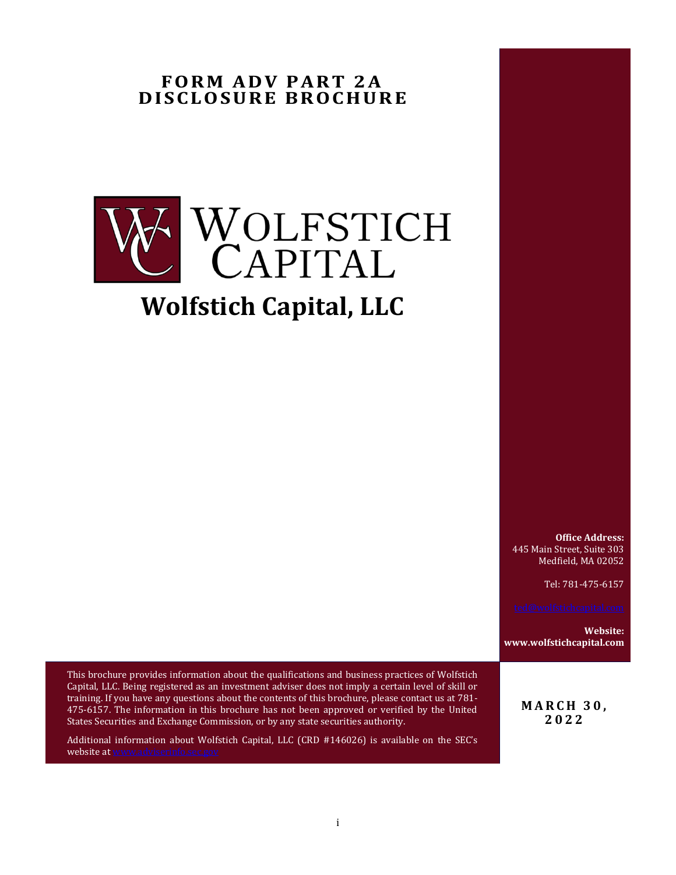# <span id="page-0-0"></span>**FORM ADV PART 2A D IS CLO SURE BR OCH URE**



**Office Address:** 445 Main Street, Suite 303 Medfield, MA 02052

Tel: 781-475-6157

**Website: www.wolfstichcapital.com**

This brochure provides information about the qualifications and business practices of Wolfstich Capital, LLC. Being registered as an investment adviser does not imply a certain level of skill or training. If you have any questions about the contents of this brochure, please contact us at 781- 475-6157. The information in this brochure has not been approved or verified by the United States Securities and Exchange Commission, or by any state securities authority.

Additional information about Wolfstich Capital, LLC (CRD #146026) is available on the SEC's website a[t www.adviserinfo.sec.gov](http://www.adviserinfo.sec.gov/)

**M A R C H 3 0 , 2022**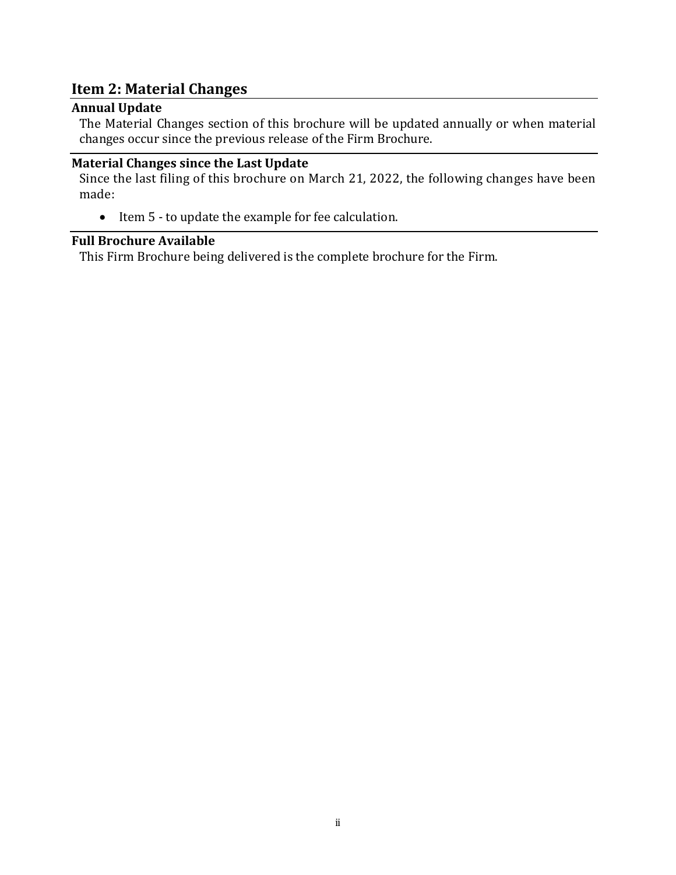# **Item 2: Material Changes**

# <span id="page-1-0"></span>**Annual Update**

The Material Changes section of this brochure will be updated annually or when material changes occur since the previous release of the Firm Brochure.

# <span id="page-1-1"></span>**Material Changes since the Last Update**

Since the last filing of this brochure on March 21, 2022, the following changes have been made:

• Item 5 - to update the example for fee calculation.

## <span id="page-1-2"></span>**Full Brochure Available**

This Firm Brochure being delivered is the complete brochure for the Firm.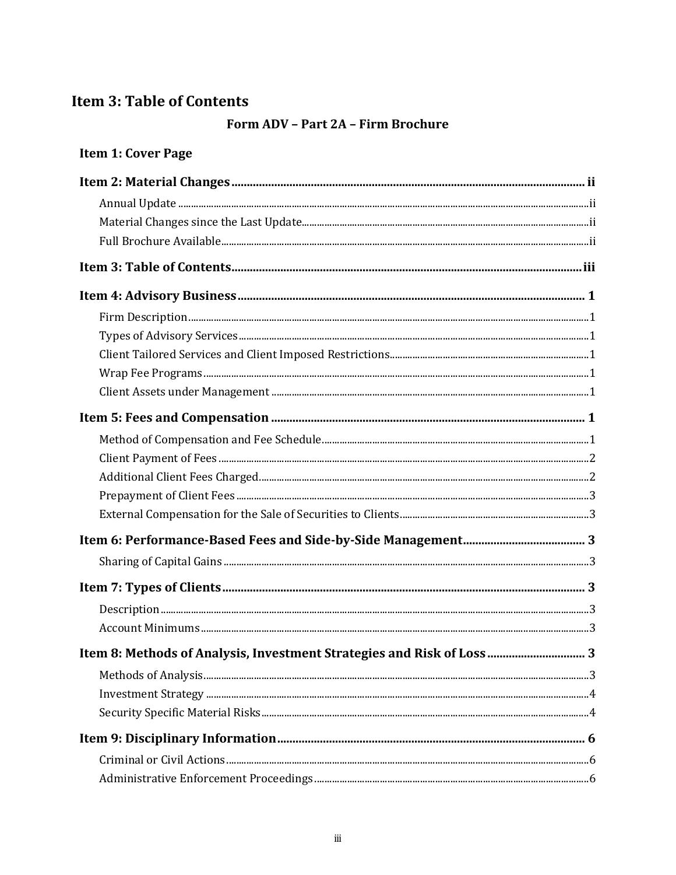# <span id="page-2-0"></span>**Item 3: Table of Contents**

# Form ADV - Part 2A - Firm Brochure

# Item 1: Cover Page

| Item 8: Methods of Analysis, Investment Strategies and Risk of Loss  3 |
|------------------------------------------------------------------------|
|                                                                        |
|                                                                        |
|                                                                        |
|                                                                        |
|                                                                        |
|                                                                        |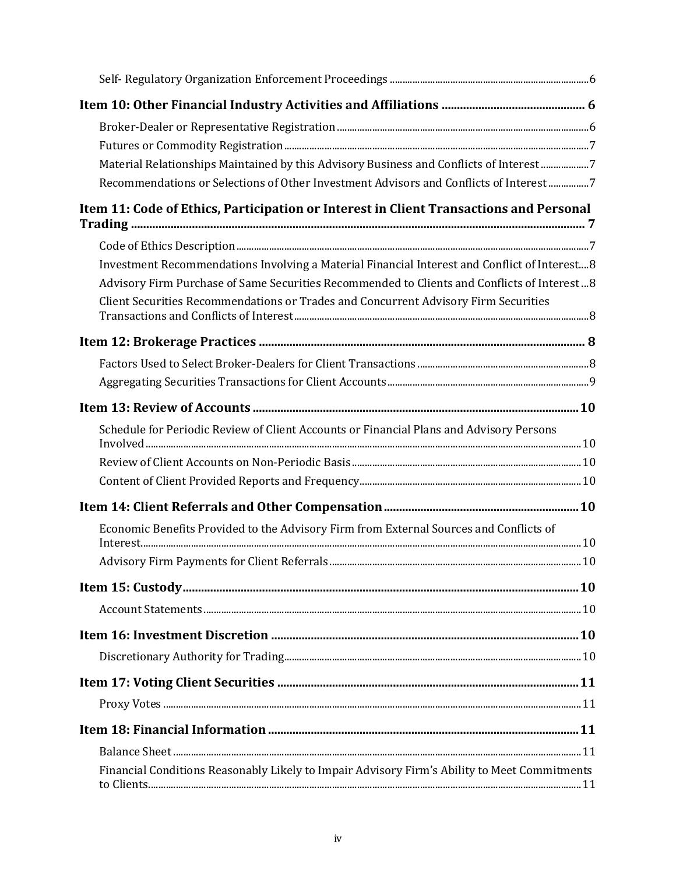| Material Relationships Maintained by this Advisory Business and Conflicts of Interest7        |
|-----------------------------------------------------------------------------------------------|
| Recommendations or Selections of Other Investment Advisors and Conflicts of Interest 7        |
| Item 11: Code of Ethics, Participation or Interest in Client Transactions and Personal        |
|                                                                                               |
| Investment Recommendations Involving a Material Financial Interest and Conflict of Interest 8 |
| Advisory Firm Purchase of Same Securities Recommended to Clients and Conflicts of Interest8   |
| Client Securities Recommendations or Trades and Concurrent Advisory Firm Securities           |
|                                                                                               |
|                                                                                               |
|                                                                                               |
|                                                                                               |
| Schedule for Periodic Review of Client Accounts or Financial Plans and Advisory Persons       |
|                                                                                               |
|                                                                                               |
|                                                                                               |
| Economic Benefits Provided to the Advisory Firm from External Sources and Conflicts of        |
|                                                                                               |
| .10                                                                                           |
|                                                                                               |
|                                                                                               |
|                                                                                               |
|                                                                                               |
|                                                                                               |
|                                                                                               |
|                                                                                               |
|                                                                                               |
| Financial Conditions Reasonably Likely to Impair Advisory Firm's Ability to Meet Commitments  |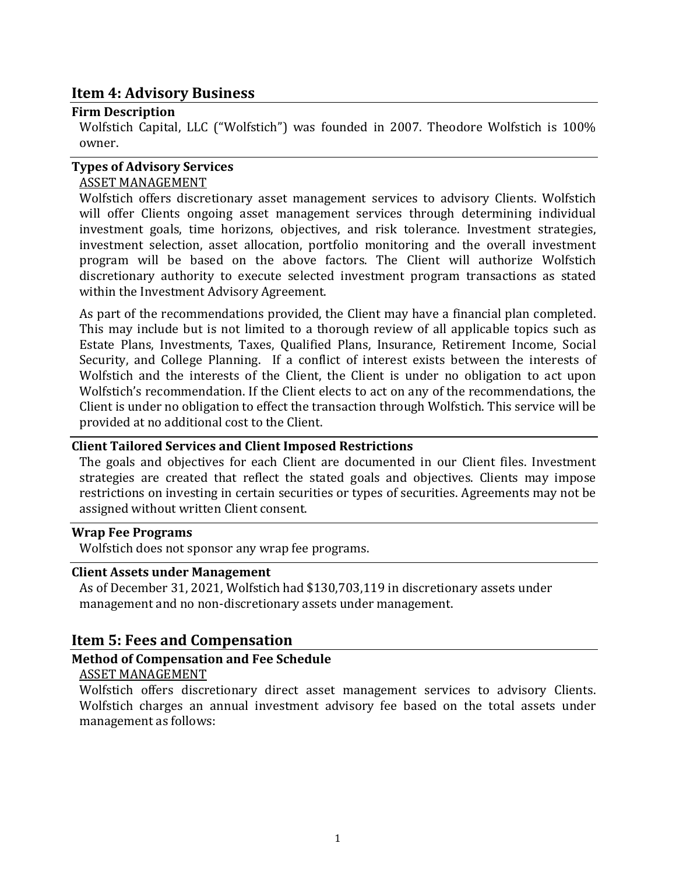# <span id="page-5-0"></span>**Item 4: Advisory Business**

### <span id="page-5-1"></span>**Firm Description**

Wolfstich Capital, LLC ("Wolfstich") was founded in 2007. Theodore Wolfstich is 100% owner.

### <span id="page-5-2"></span>**Types of Advisory Services**

### ASSET MANAGEMENT

Wolfstich offers discretionary asset management services to advisory Clients. Wolfstich will offer Clients ongoing asset management services through determining individual investment goals, time horizons, objectives, and risk tolerance. Investment strategies, investment selection, asset allocation, portfolio monitoring and the overall investment program will be based on the above factors. The Client will authorize Wolfstich discretionary authority to execute selected investment program transactions as stated within the Investment Advisory Agreement.

As part of the recommendations provided, the Client may have a financial plan completed. This may include but is not limited to a thorough review of all applicable topics such as Estate Plans, Investments, Taxes, Qualified Plans, Insurance, Retirement Income, Social Security, and College Planning. If a conflict of interest exists between the interests of Wolfstich and the interests of the Client, the Client is under no obligation to act upon Wolfstich's recommendation. If the Client elects to act on any of the recommendations, the Client is under no obligation to effect the transaction through Wolfstich. This service will be provided at no additional cost to the Client.

### <span id="page-5-3"></span>**Client Tailored Services and Client Imposed Restrictions**

The goals and objectives for each Client are documented in our Client files. Investment strategies are created that reflect the stated goals and objectives. Clients may impose restrictions on investing in certain securities or types of securities. Agreements may not be assigned without written Client consent.

#### <span id="page-5-4"></span>**Wrap Fee Programs**

Wolfstich does not sponsor any wrap fee programs.

#### <span id="page-5-5"></span>**Client Assets under Management**

As of December 31, 2021, Wolfstich had \$130,703,119 in discretionary assets under management and no non-discretionary assets under management.

# <span id="page-5-6"></span>**Item 5: Fees and Compensation**

### <span id="page-5-7"></span>**Method of Compensation and Fee Schedule**

#### ASSET MANAGEMENT

Wolfstich offers discretionary direct asset management services to advisory Clients. Wolfstich charges an annual investment advisory fee based on the total assets under management as follows: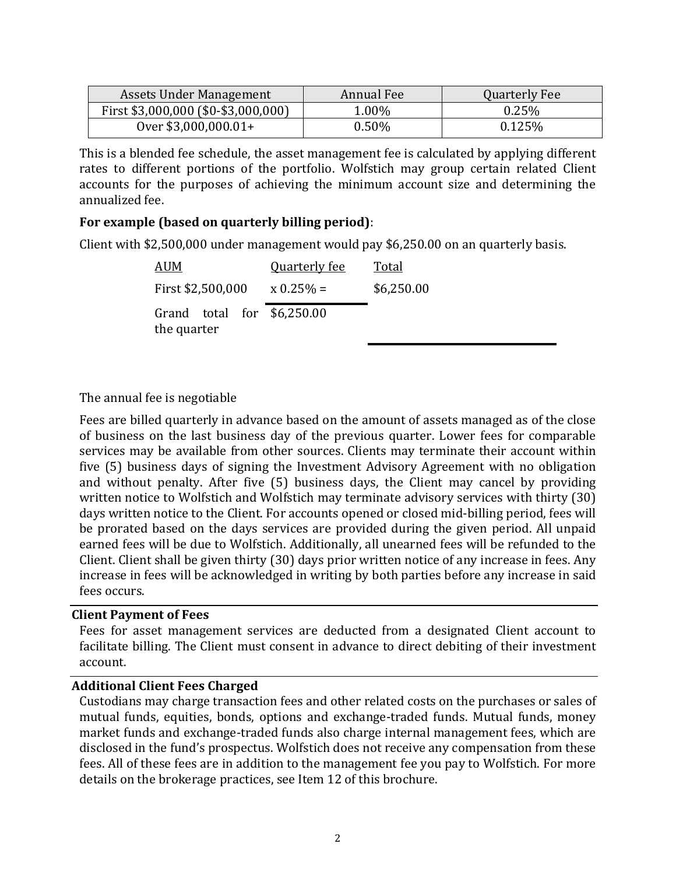<span id="page-6-2"></span>

| Assets Under Management             | Annual Fee | Quarterly Fee |
|-------------------------------------|------------|---------------|
| First \$3,000,000 (\$0-\$3,000,000) | 1.00%      | 0.25%         |
| Over $$3,000,000.01+$               | $0.50\%$   | 0.125%        |

This is a blended fee schedule, the asset management fee is calculated by applying different rates to different portions of the portfolio. Wolfstich may group certain related Client accounts for the purposes of achieving the minimum account size and determining the annualized fee.

# **For example (based on quarterly billing period)**:

Client with \$2,500,000 under management would pay \$6,250.00 on an quarterly basis.

| <b>AUM</b>                                 | <b>Quarterly fee</b> | Total      |
|--------------------------------------------|----------------------|------------|
| First \$2,500,000                          | $x\,0.25\% =$        | \$6,250.00 |
| Grand total for $$6,250.00$<br>the quarter |                      |            |

### The annual fee is negotiable

Fees are billed quarterly in advance based on the amount of assets managed as of the close of business on the last business day of the previous quarter. Lower fees for comparable services may be available from other sources. Clients may terminate their account within five (5) business days of signing the Investment Advisory Agreement with no obligation and without penalty. After five (5) business days, the Client may cancel by providing written notice to Wolfstich and Wolfstich may terminate advisory services with thirty (30) days written notice to the Client. For accounts opened or closed mid-billing period, fees will be prorated based on the days services are provided during the given period. All unpaid earned fees will be due to Wolfstich. Additionally, all unearned fees will be refunded to the Client. Client shall be given thirty (30) days prior written notice of any increase in fees. Any increase in fees will be acknowledged in writing by both parties before any increase in said fees occurs.

#### <span id="page-6-0"></span>**Client Payment of Fees**

Fees for asset management services are deducted from a designated Client account to facilitate billing. The Client must consent in advance to direct debiting of their investment account.

### <span id="page-6-1"></span>**Additional Client Fees Charged**

Custodians may charge transaction fees and other related costs on the purchases or sales of mutual funds, equities, bonds, options and exchange-traded funds. Mutual funds, money market funds and exchange-traded funds also charge internal management fees, which are disclosed in the fund's prospectus. Wolfstich does not receive any compensation from these fees. All of these fees are in addition to the management fee you pay to Wolfstich. For more details on the brokerage practices, see Item 12 of this brochure.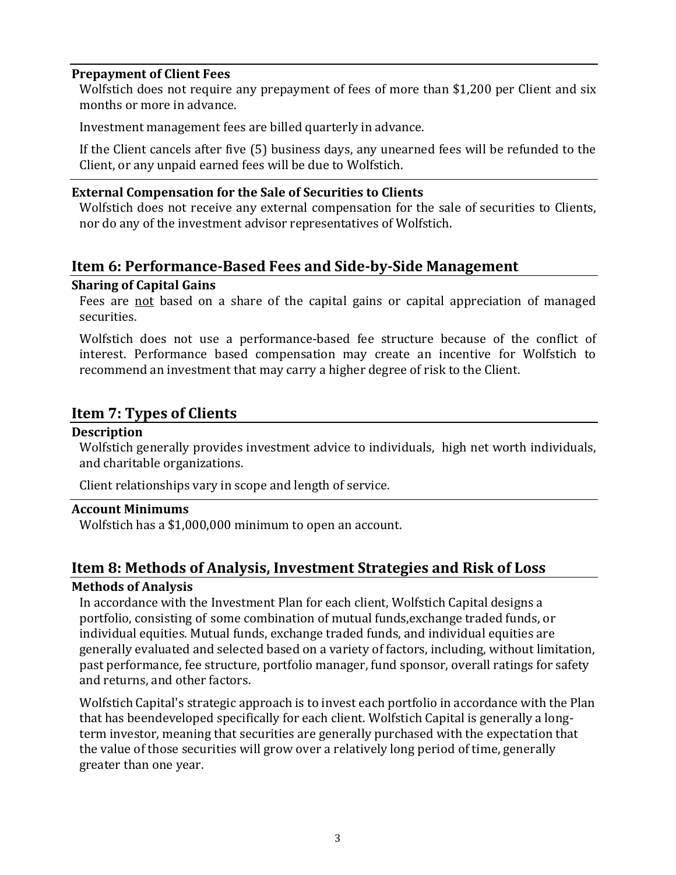### <span id="page-7-8"></span>**Prepayment of Client Fees**

Wolfstich does not require any prepayment of fees of more than \$1,200 per Client and six months or more in advance.

Investment management fees are billed quarterly in advance.

If the Client cancels after five (5) business days, any unearned fees will be refunded to the Client, or any unpaid earned fees will be due to Wolfstich.

### <span id="page-7-0"></span>**External Compensation for the Sale of Securities to Clients**

Wolfstich does not receive any external compensation for the sale of securities to Clients, nor do any of the investment advisor representatives of Wolfstich.

# <span id="page-7-1"></span>**Item 6: Performance-Based Fees and Side-by-Side Management**

#### <span id="page-7-2"></span>**Sharing of Capital Gains**

Fees are not based on a share of the capital gains or capital appreciation of managed securities.

Wolfstich does not use a performance-based fee structure because of the conflict of interest. Performance based compensation may create an incentive for Wolfstich to recommend an investment that may carry a higher degree of risk to the Client.

# <span id="page-7-3"></span>**Item 7: Types of Clients**

### <span id="page-7-4"></span>**Description**

Wolfstich generally provides investment advice to individuals, high net worth individuals, and charitable organizations.

Client relationships vary in scope and length of service.

#### <span id="page-7-5"></span>**Account Minimums**

Wolfstich has a \$1,000,000 minimum to open an account.

# <span id="page-7-6"></span>**Item 8: Methods of Analysis, Investment Strategies and Risk of Loss**

### <span id="page-7-7"></span>**Methods of Analysis**

In accordance with the Investment Plan for each client, Wolfstich Capital designs a portfolio, consisting of some combination of mutual funds,exchange traded funds, or individual equities. Mutual funds, exchange traded funds, and individual equities are generally evaluated and selected based on a variety of factors, including, without limitation, past performance, fee structure, portfolio manager, fund sponsor, overall ratings for safety and returns, and other factors.

Wolfstich Capital's strategic approach is to invest each portfolio in accordance with the Plan that has beendeveloped specifically for each client. Wolfstich Capital is generally a longterm investor, meaning that securities are generally purchased with the expectation that the value of those securities will grow over a relatively long period of time, generally greater than one year.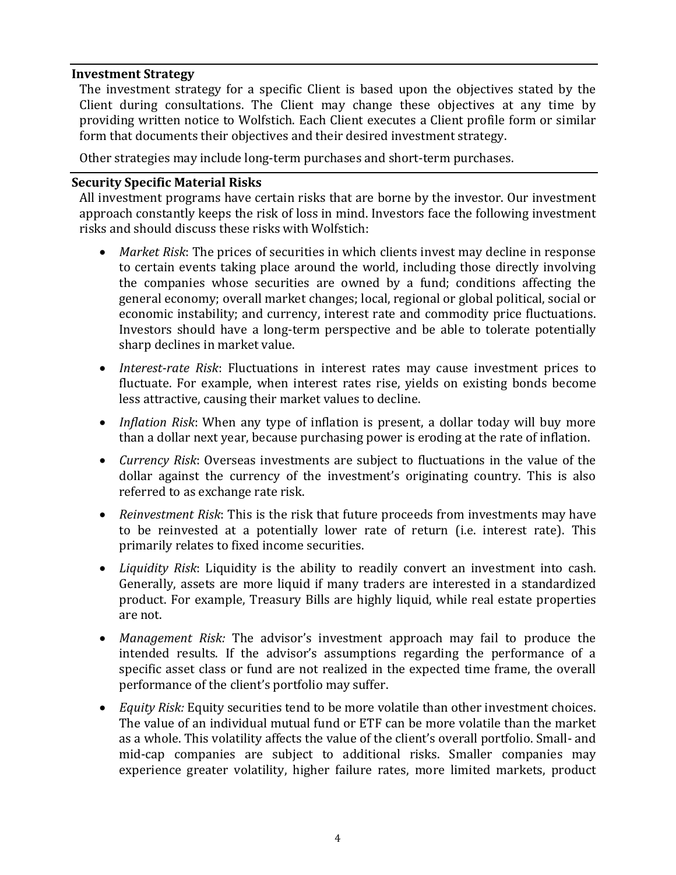### **Investment Strategy**

The investment strategy for a specific Client is based upon the objectives stated by the Client during consultations. The Client may change these objectives at any time by providing written notice to Wolfstich. Each Client executes a Client profile form or similar form that documents their objectives and their desired investment strategy.

Other strategies may include long-term purchases and short-term purchases.

#### <span id="page-8-0"></span>**Security Specific Material Risks**

All investment programs have certain risks that are borne by the investor. Our investment approach constantly keeps the risk of loss in mind. Investors face the following investment risks and should discuss these risks with Wolfstich:

- *Market Risk*: The prices of securities in which clients invest may decline in response to certain events taking place around the world, including those directly involving the companies whose securities are owned by a fund; conditions affecting the general economy; overall market changes; local, regional or global political, social or economic instability; and currency, interest rate and commodity price fluctuations. Investors should have a long-term perspective and be able to tolerate potentially sharp declines in market value.
- *Interest-rate Risk*: Fluctuations in interest rates may cause investment prices to fluctuate. For example, when interest rates rise, yields on existing bonds become less attractive, causing their market values to decline.
- *Inflation Risk*: When any type of inflation is present, a dollar today will buy more than a dollar next year, because purchasing power is eroding at the rate of inflation.
- *Currency Risk*: Overseas investments are subject to fluctuations in the value of the dollar against the currency of the investment's originating country. This is also referred to as exchange rate risk.
- *Reinvestment Risk*: This is the risk that future proceeds from investments may have to be reinvested at a potentially lower rate of return (i.e. interest rate). This primarily relates to fixed income securities.
- *Liquidity Risk*: Liquidity is the ability to readily convert an investment into cash. Generally, assets are more liquid if many traders are interested in a standardized product. For example, Treasury Bills are highly liquid, while real estate properties are not.
- *Management Risk:* The advisor's investment approach may fail to produce the intended results. If the advisor's assumptions regarding the performance of a specific asset class or fund are not realized in the expected time frame, the overall performance of the client's portfolio may suffer.
- *Equity Risk:* Equity securities tend to be more volatile than other investment choices. The value of an individual mutual fund or ETF can be more volatile than the market as a whole. This volatility affects the value of the client's overall portfolio. Small- and mid-cap companies are subject to additional risks. Smaller companies may experience greater volatility, higher failure rates, more limited markets, product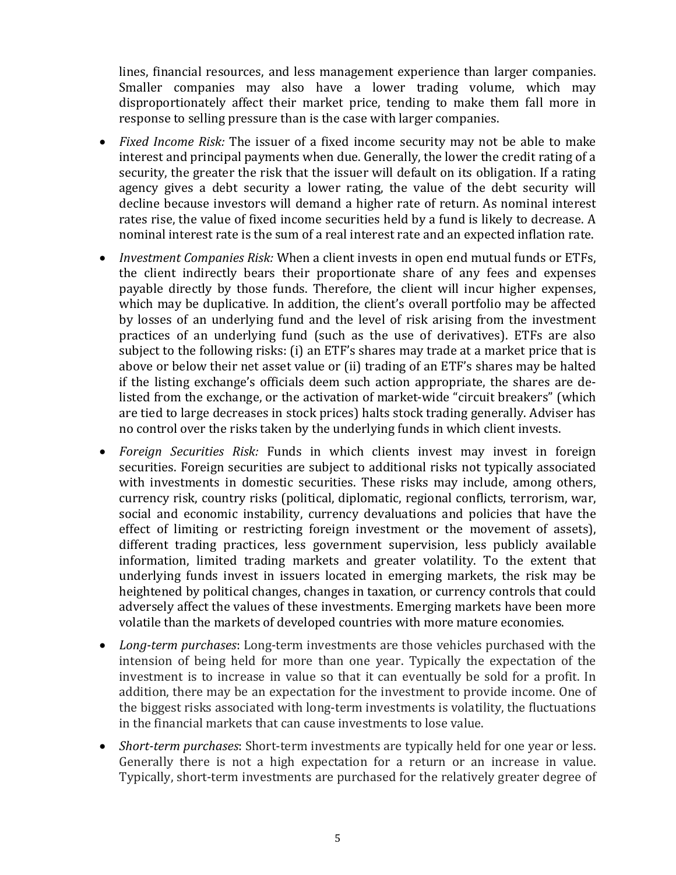lines, financial resources, and less management experience than larger companies. Smaller companies may also have a lower trading volume, which may disproportionately affect their market price, tending to make them fall more in response to selling pressure than is the case with larger companies.

- *Fixed Income Risk:* The issuer of a fixed income security may not be able to make interest and principal payments when due. Generally, the lower the credit rating of a security, the greater the risk that the issuer will default on its obligation. If a rating agency gives a debt security a lower rating, the value of the debt security will decline because investors will demand a higher rate of return. As nominal interest rates rise, the value of fixed income securities held by a fund is likely to decrease. A nominal interest rate is the sum of a real interest rate and an expected inflation rate.
- *Investment Companies Risk:* When a client invests in open end mutual funds or ETFs, the client indirectly bears their proportionate share of any fees and expenses payable directly by those funds. Therefore, the client will incur higher expenses, which may be duplicative. In addition, the client's overall portfolio may be affected by losses of an underlying fund and the level of risk arising from the investment practices of an underlying fund (such as the use of derivatives). ETFs are also subject to the following risks: (i) an ETF's shares may trade at a market price that is above or below their net asset value or (ii) trading of an ETF's shares may be halted if the listing exchange's officials deem such action appropriate, the shares are delisted from the exchange, or the activation of market-wide "circuit breakers" (which are tied to large decreases in stock prices) halts stock trading generally. Adviser has no control over the risks taken by the underlying funds in which client invests.
- *Foreign Securities Risk:* Funds in which clients invest may invest in foreign securities. Foreign securities are subject to additional risks not typically associated with investments in domestic securities. These risks may include, among others, currency risk, country risks (political, diplomatic, regional conflicts, terrorism, war, social and economic instability, currency devaluations and policies that have the effect of limiting or restricting foreign investment or the movement of assets), different trading practices, less government supervision, less publicly available information, limited trading markets and greater volatility. To the extent that underlying funds invest in issuers located in emerging markets, the risk may be heightened by political changes, changes in taxation, or currency controls that could adversely affect the values of these investments. Emerging markets have been more volatile than the markets of developed countries with more mature economies.
- *Long-term purchases*: Long-term investments are those vehicles purchased with the intension of being held for more than one year. Typically the expectation of the investment is to increase in value so that it can eventually be sold for a profit. In addition, there may be an expectation for the investment to provide income. One of the biggest risks associated with long-term investments is volatility, the fluctuations in the financial markets that can cause investments to lose value.
- *Short-term purchases*: Short-term investments are typically held for one year or less. Generally there is not a high expectation for a return or an increase in value. Typically, short-term investments are purchased for the relatively greater degree of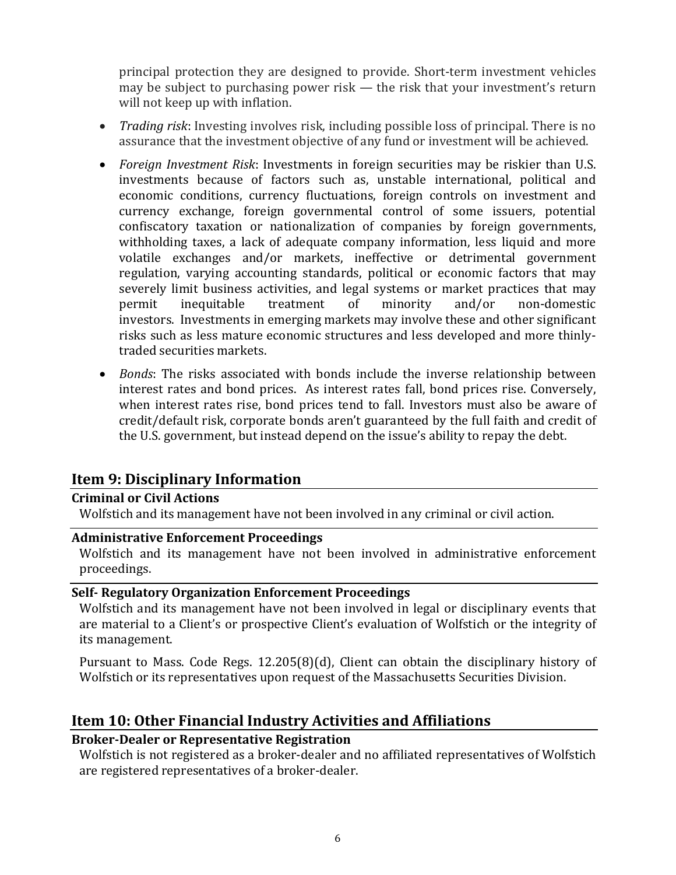<span id="page-10-6"></span>principal protection they are designed to provide. Short-term investment vehicles may be subject to purchasing power risk — the risk that your investment's return will not keep up with inflation.

- *Trading risk*: Investing involves risk, including possible loss of principal. There is no assurance that the investment objective of any fund or investment will be achieved.
- *Foreign Investment Risk*: Investments in foreign securities may be riskier than U.S. investments because of factors such as, unstable international, political and economic conditions, currency fluctuations, foreign controls on investment and currency exchange, foreign governmental control of some issuers, potential confiscatory taxation or nationalization of companies by foreign governments, withholding taxes, a lack of adequate company information, less liquid and more volatile exchanges and/or markets, ineffective or detrimental government regulation, varying accounting standards, political or economic factors that may severely limit business activities, and legal systems or market practices that may permit inequitable treatment of minority and/or non-domestic investors. Investments in emerging markets may involve these and other significant risks such as less mature economic structures and less developed and more thinlytraded securities markets.
- *Bonds*: The risks associated with bonds include the inverse relationship between interest rates and bond prices. As interest rates fall, bond prices rise. Conversely, when interest rates rise, bond prices tend to fall. Investors must also be aware of credit/default risk, corporate bonds aren't guaranteed by the full faith and credit of the U.S. government, but instead depend on the issue's ability to repay the debt.

# <span id="page-10-0"></span>**Item 9: Disciplinary Information**

### <span id="page-10-1"></span>**Criminal or Civil Actions**

Wolfstich and its management have not been involved in any criminal or civil action.

### <span id="page-10-2"></span>**Administrative Enforcement Proceedings**

Wolfstich and its management have not been involved in administrative enforcement proceedings.

### <span id="page-10-3"></span>**Self- Regulatory Organization Enforcement Proceedings**

Wolfstich and its management have not been involved in legal or disciplinary events that are material to a Client's or prospective Client's evaluation of Wolfstich or the integrity of its management.

Pursuant to Mass. Code Regs. 12.205(8)(d), Client can obtain the disciplinary history of Wolfstich or its representatives upon request of the Massachusetts Securities Division.

# <span id="page-10-4"></span>**Item 10: Other Financial Industry Activities and Affiliations**

# <span id="page-10-5"></span>**Broker-Dealer or Representative Registration**

Wolfstich is not registered as a broker-dealer and no affiliated representatives of Wolfstich are registered representatives of a broker-dealer.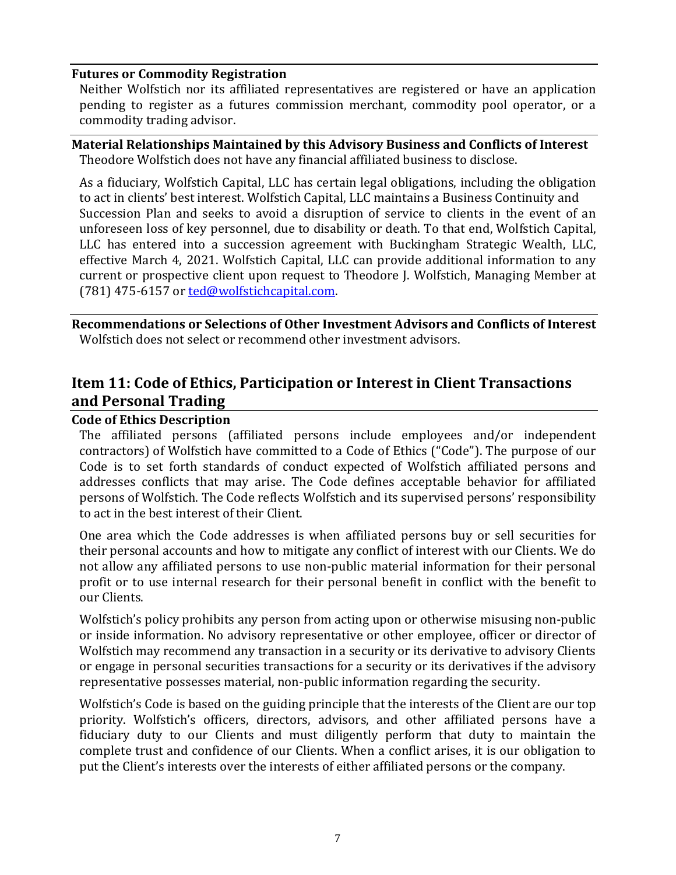### **Futures or Commodity Registration**

Neither Wolfstich nor its affiliated representatives are registered or have an application pending to register as a futures commission merchant, commodity pool operator, or a commodity trading advisor.

#### <span id="page-11-0"></span>**Material Relationships Maintained by this Advisory Business and Conflicts of Interest** Theodore Wolfstich does not have any financial affiliated business to disclose.

As a fiduciary, Wolfstich Capital, LLC has certain legal obligations, including the obligation to act in clients' best interest. Wolfstich Capital, LLC maintains a Business Continuity and Succession Plan and seeks to avoid a disruption of service to clients in the event of an unforeseen loss of key personnel, due to disability or death. To that end, Wolfstich Capital, LLC has entered into a succession agreement with Buckingham Strategic Wealth, LLC, effective March 4, 2021. Wolfstich Capital, LLC can provide additional information to any current or prospective client upon request to Theodore J. Wolfstich, Managing Member at (781) 475-6157 or [ted@wolfstichcapital.com.](mailto:ted@wolfstichcapital.com)

<span id="page-11-1"></span>**Recommendations or Selections of Other Investment Advisors and Conflicts of Interest** Wolfstich does not select or recommend other investment advisors.

# <span id="page-11-2"></span>**Item 11: Code of Ethics, Participation or Interest in Client Transactions and Personal Trading**

### <span id="page-11-3"></span>**Code of Ethics Description**

The affiliated persons (affiliated persons include employees and/or independent contractors) of Wolfstich have committed to a Code of Ethics ("Code"). The purpose of our Code is to set forth standards of conduct expected of Wolfstich affiliated persons and addresses conflicts that may arise. The Code defines acceptable behavior for affiliated persons of Wolfstich. The Code reflects Wolfstich and its supervised persons' responsibility to act in the best interest of their Client.

One area which the Code addresses is when affiliated persons buy or sell securities for their personal accounts and how to mitigate any conflict of interest with our Clients. We do not allow any affiliated persons to use non-public material information for their personal profit or to use internal research for their personal benefit in conflict with the benefit to our Clients.

Wolfstich's policy prohibits any person from acting upon or otherwise misusing non-public or inside information. No advisory representative or other employee, officer or director of Wolfstich may recommend any transaction in a security or its derivative to advisory Clients or engage in personal securities transactions for a security or its derivatives if the advisory representative possesses material, non-public information regarding the security.

Wolfstich's Code is based on the guiding principle that the interests of the Client are our top priority. Wolfstich's officers, directors, advisors, and other affiliated persons have a fiduciary duty to our Clients and must diligently perform that duty to maintain the complete trust and confidence of our Clients. When a conflict arises, it is our obligation to put the Client's interests over the interests of either affiliated persons or the company.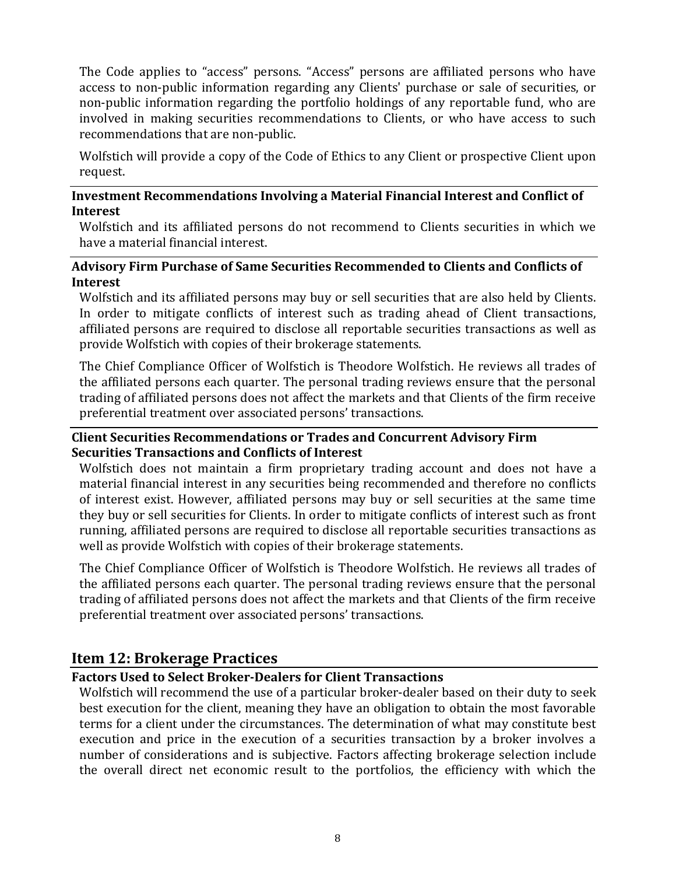The Code applies to "access" persons. "Access" persons are affiliated persons who have access to non-public information regarding any Clients' purchase or sale of securities, or non-public information regarding the portfolio holdings of any reportable fund, who are involved in making securities recommendations to Clients, or who have access to such recommendations that are non-public.

Wolfstich will provide a copy of the Code of Ethics to any Client or prospective Client upon request.

### <span id="page-12-0"></span>**Investment Recommendations Involving a Material Financial Interest and Conflict of Interest**

Wolfstich and its affiliated persons do not recommend to Clients securities in which we have a material financial interest.

### <span id="page-12-1"></span>**Advisory Firm Purchase of Same Securities Recommended to Clients and Conflicts of Interest**

Wolfstich and its affiliated persons may buy or sell securities that are also held by Clients. In order to mitigate conflicts of interest such as trading ahead of Client transactions, affiliated persons are required to disclose all reportable securities transactions as well as provide Wolfstich with copies of their brokerage statements.

The Chief Compliance Officer of Wolfstich is Theodore Wolfstich. He reviews all trades of the affiliated persons each quarter. The personal trading reviews ensure that the personal trading of affiliated persons does not affect the markets and that Clients of the firm receive preferential treatment over associated persons' transactions.

### <span id="page-12-2"></span>**Client Securities Recommendations or Trades and Concurrent Advisory Firm Securities Transactions and Conflicts of Interest**

Wolfstich does not maintain a firm proprietary trading account and does not have a material financial interest in any securities being recommended and therefore no conflicts of interest exist. However, affiliated persons may buy or sell securities at the same time they buy or sell securities for Clients. In order to mitigate conflicts of interest such as front running, affiliated persons are required to disclose all reportable securities transactions as well as provide Wolfstich with copies of their brokerage statements.

The Chief Compliance Officer of Wolfstich is Theodore Wolfstich. He reviews all trades of the affiliated persons each quarter. The personal trading reviews ensure that the personal trading of affiliated persons does not affect the markets and that Clients of the firm receive preferential treatment over associated persons' transactions.

# <span id="page-12-3"></span>**Item 12: Brokerage Practices**

### <span id="page-12-4"></span>**Factors Used to Select Broker-Dealers for Client Transactions**

Wolfstich will recommend the use of a particular broker-dealer based on their duty to seek best execution for the client, meaning they have an obligation to obtain the most favorable terms for a client under the circumstances. The determination of what may constitute best execution and price in the execution of a securities transaction by a broker involves a number of considerations and is subjective. Factors affecting brokerage selection include the overall direct net economic result to the portfolios, the efficiency with which the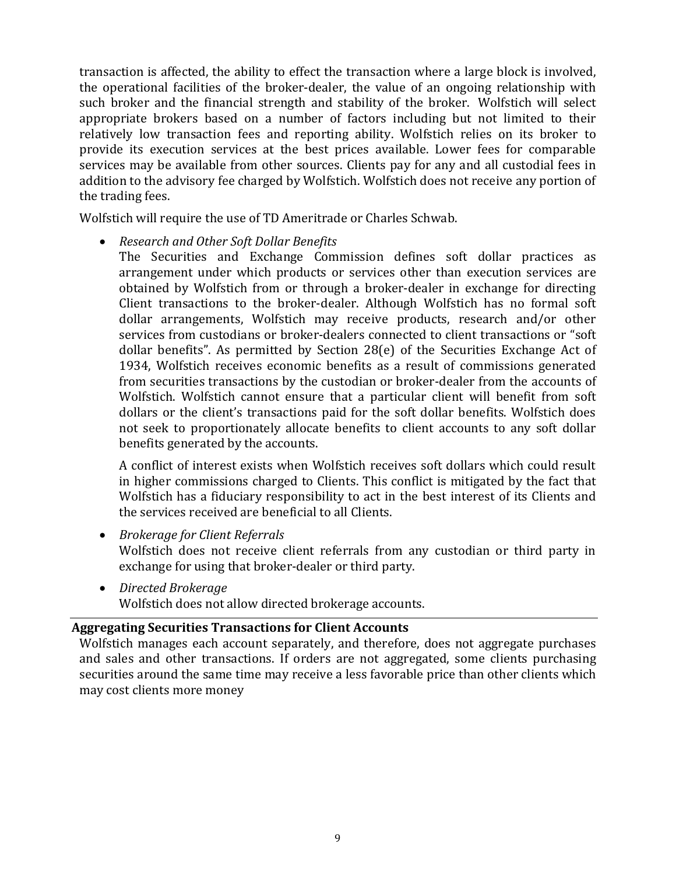<span id="page-13-1"></span>transaction is affected, the ability to effect the transaction where a large block is involved, the operational facilities of the broker-dealer, the value of an ongoing relationship with such broker and the financial strength and stability of the broker. Wolfstich will select appropriate brokers based on a number of factors including but not limited to their relatively low transaction fees and reporting ability. Wolfstich relies on its broker to provide its execution services at the best prices available. Lower fees for comparable services may be available from other sources. Clients pay for any and all custodial fees in addition to the advisory fee charged by Wolfstich. Wolfstich does not receive any portion of the trading fees.

Wolfstich will require the use of TD Ameritrade or Charles Schwab.

- *Research and Other Soft Dollar Benefits*
	- The Securities and Exchange Commission defines soft dollar practices as arrangement under which products or services other than execution services are obtained by Wolfstich from or through a broker-dealer in exchange for directing Client transactions to the broker-dealer. Although Wolfstich has no formal soft dollar arrangements, Wolfstich may receive products, research and/or other services from custodians or broker-dealers connected to client transactions or "soft dollar benefits". As permitted by Section 28(e) of the Securities Exchange Act of 1934, Wolfstich receives economic benefits as a result of commissions generated from securities transactions by the custodian or broker-dealer from the accounts of Wolfstich. Wolfstich cannot ensure that a particular client will benefit from soft dollars or the client's transactions paid for the soft dollar benefits. Wolfstich does not seek to proportionately allocate benefits to client accounts to any soft dollar benefits generated by the accounts.

A conflict of interest exists when Wolfstich receives soft dollars which could result in higher commissions charged to Clients. This conflict is mitigated by the fact that Wolfstich has a fiduciary responsibility to act in the best interest of its Clients and the services received are beneficial to all Clients.

• *Brokerage for Client Referrals*

Wolfstich does not receive client referrals from any custodian or third party in exchange for using that broker-dealer or third party.

• *Directed Brokerage* Wolfstich does not allow directed brokerage accounts.

### <span id="page-13-0"></span>**Aggregating Securities Transactions for Client Accounts**

Wolfstich manages each account separately, and therefore, does not aggregate purchases and sales and other transactions. If orders are not aggregated, some clients purchasing securities around the same time may receive a less favorable price than other clients which may cost clients more money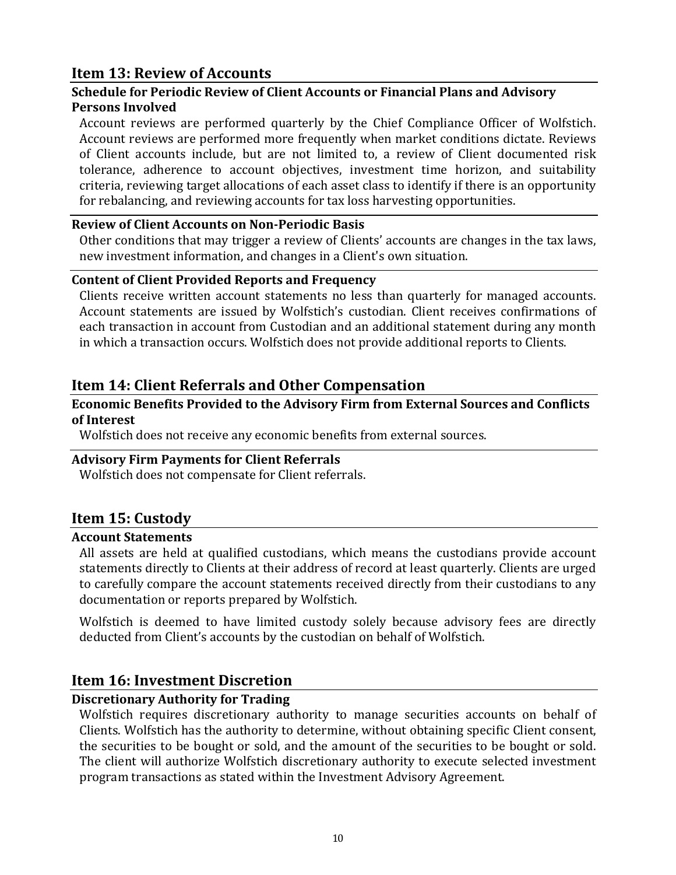# **Item 13: Review of Accounts**

## <span id="page-14-0"></span>**Schedule for Periodic Review of Client Accounts or Financial Plans and Advisory Persons Involved**

Account reviews are performed quarterly by the Chief Compliance Officer of Wolfstich. Account reviews are performed more frequently when market conditions dictate. Reviews of Client accounts include, but are not limited to, a review of Client documented risk tolerance, adherence to account objectives, investment time horizon, and suitability criteria, reviewing target allocations of each asset class to identify if there is an opportunity for rebalancing, and reviewing accounts for tax loss harvesting opportunities.

### <span id="page-14-1"></span>**Review of Client Accounts on Non-Periodic Basis**

Other conditions that may trigger a review of Clients' accounts are changes in the tax laws, new investment information, and changes in a Client's own situation.

### <span id="page-14-2"></span>**Content of Client Provided Reports and Frequency**

Clients receive written account statements no less than quarterly for managed accounts. Account statements are issued by Wolfstich's custodian. Client receives confirmations of each transaction in account from Custodian and an additional statement during any month in which a transaction occurs. Wolfstich does not provide additional reports to Clients.

# <span id="page-14-3"></span>**Item 14: Client Referrals and Other Compensation**

### <span id="page-14-4"></span>**Economic Benefits Provided to the Advisory Firm from External Sources and Conflicts of Interest**

Wolfstich does not receive any economic benefits from external sources.

### <span id="page-14-5"></span>**Advisory Firm Payments for Client Referrals**

Wolfstich does not compensate for Client referrals.

# <span id="page-14-6"></span>**Item 15: Custody**

#### <span id="page-14-7"></span>**Account Statements**

All assets are held at qualified custodians, which means the custodians provide account statements directly to Clients at their address of record at least quarterly. Clients are urged to carefully compare the account statements received directly from their custodians to any documentation or reports prepared by Wolfstich.

Wolfstich is deemed to have limited custody solely because advisory fees are directly deducted from Client's accounts by the custodian on behalf of Wolfstich.

# <span id="page-14-8"></span>**Item 16: Investment Discretion**

### <span id="page-14-9"></span>**Discretionary Authority for Trading**

Wolfstich requires discretionary authority to manage securities accounts on behalf of Clients. Wolfstich has the authority to determine, without obtaining specific Client consent, the securities to be bought or sold, and the amount of the securities to be bought or sold. The client will authorize Wolfstich discretionary authority to execute selected investment program transactions as stated within the Investment Advisory Agreement.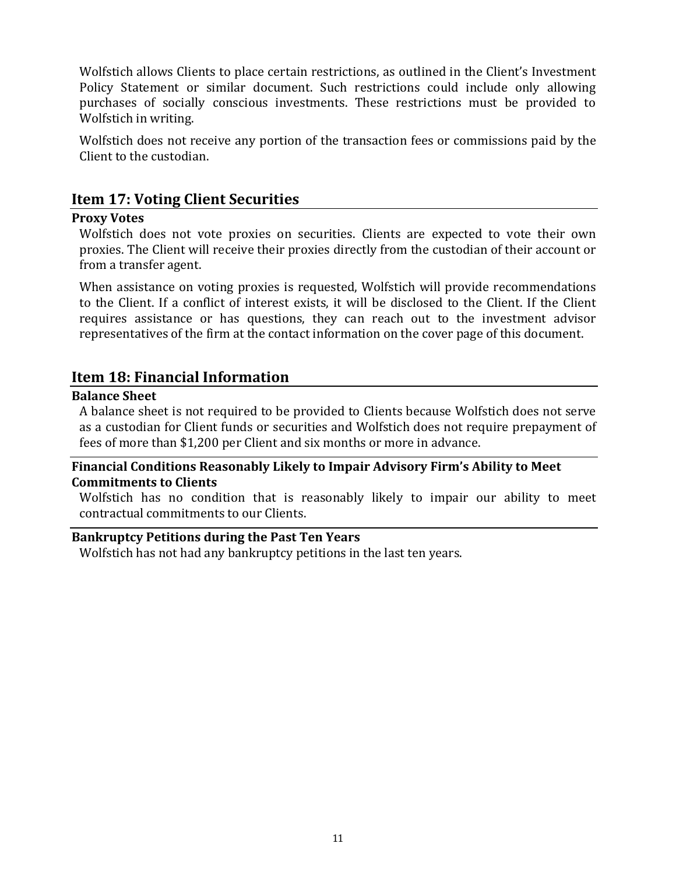Wolfstich allows Clients to place certain restrictions, as outlined in the Client's Investment Policy Statement or similar document. Such restrictions could include only allowing purchases of socially conscious investments. These restrictions must be provided to Wolfstich in writing.

Wolfstich does not receive any portion of the transaction fees or commissions paid by the Client to the custodian.

# <span id="page-15-0"></span>**Item 17: Voting Client Securities**

### <span id="page-15-1"></span>**Proxy Votes**

Wolfstich does not vote proxies on securities. Clients are expected to vote their own proxies. The Client will receive their proxies directly from the custodian of their account or from a transfer agent.

When assistance on voting proxies is requested, Wolfstich will provide recommendations to the Client. If a conflict of interest exists, it will be disclosed to the Client. If the Client requires assistance or has questions, they can reach out to the investment advisor representatives of the firm at the contact information on the cover page of this document.

# <span id="page-15-2"></span>**Item 18: Financial Information**

### <span id="page-15-3"></span>**Balance Sheet**

A balance sheet is not required to be provided to Clients because Wolfstich does not serve as a custodian for Client funds or securities and Wolfstich does not require prepayment of fees of more than \$1,200 per Client and six months or more in advance.

### <span id="page-15-4"></span>**Financial Conditions Reasonably Likely to Impair Advisory Firm's Ability to Meet Commitments to Clients**

Wolfstich has no condition that is reasonably likely to impair our ability to meet contractual commitments to our Clients.

### <span id="page-15-5"></span>**Bankruptcy Petitions during the Past Ten Years**

Wolfstich has not had any bankruptcy petitions in the last ten years.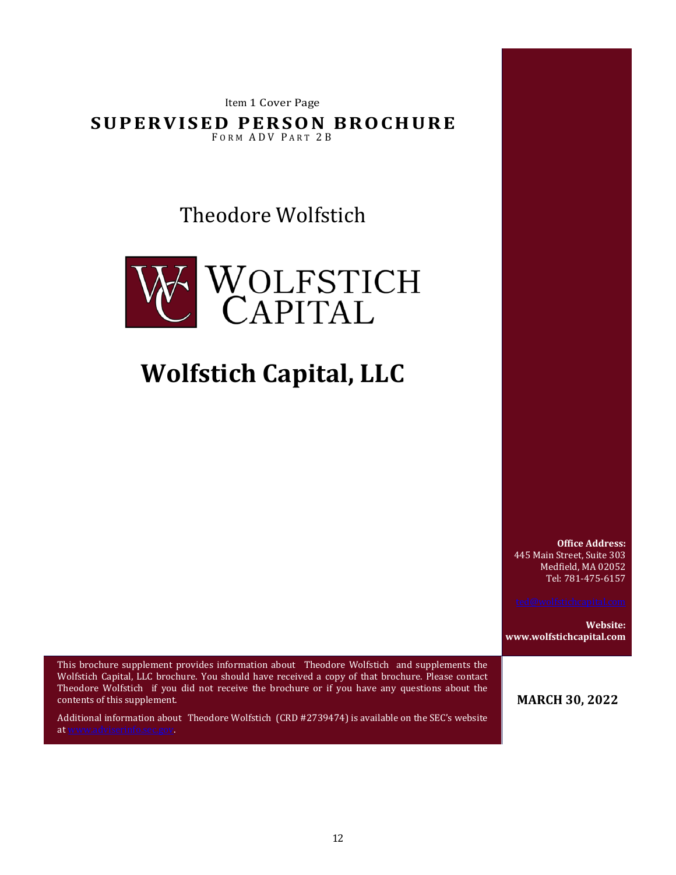Item 1 Cover Page

**SUPER VISED PER SON BRO CH URE** FORM ADV PART 2B

Theodore Wolfstich



# **Wolfstich Capital, LLC**

**Office Address:** 445 Main Street, Suite 303 Medfield, MA 02052 Tel: 781-475-6157

**Website: www.wolfstichcapital.com**

This brochure supplement provides information about Theodore Wolfstich and supplements the Wolfstich Capital, LLC brochure. You should have received a copy of that brochure. Please contact Theodore Wolfstich if you did not receive the brochure or if you have any questions about the contents of this supplement.

Additional information about Theodore Wolfstich (CRD #2739474) is available on the SEC's website a[t www.adviserinfo.sec.gov.](http://www.adviserinfo.sec.gov/)

**MARCH 30, 2022**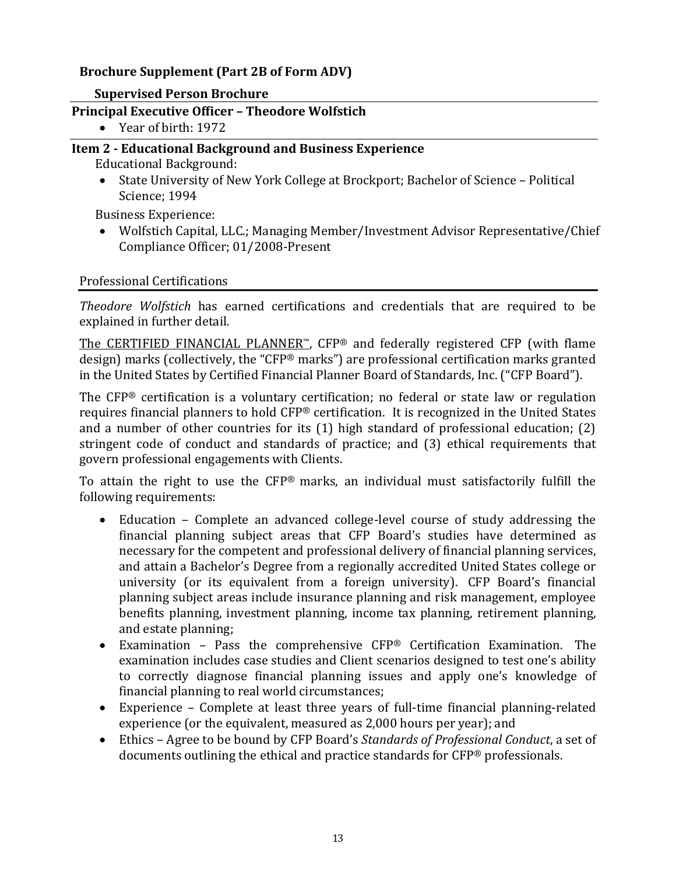# **Brochure Supplement (Part 2B of Form ADV)**

### **Supervised Person Brochure**

### <span id="page-17-0"></span>**Principal Executive Officer – Theodore Wolfstich**

• Year of birth: 1972

## <span id="page-17-1"></span>**Item 2 - Educational Background and Business Experience**

Educational Background:

• State University of New York College at Brockport; Bachelor of Science – Political Science; 1994

Business Experience:

• Wolfstich Capital, LLC.; Managing Member/Investment Advisor Representative/Chief Compliance Officer; 01/2008-Present

### Professional Certifications

*Theodore Wolfstich* has earned certifications and credentials that are required to be explained in further detail.

The CERTIFIED FINANCIAL PLANNER™, CFP® and federally registered CFP (with flame design) marks (collectively, the "CFP® marks") are professional certification marks granted in the United States by Certified Financial Planner Board of Standards, Inc. ("CFP Board").

The CFP® certification is a voluntary certification; no federal or state law or regulation requires financial planners to hold CFP® certification. It is recognized in the United States and a number of other countries for its (1) high standard of professional education; (2) stringent code of conduct and standards of practice; and (3) ethical requirements that govern professional engagements with Clients.

To attain the right to use the CFP® marks, an individual must satisfactorily fulfill the following requirements:

- Education Complete an advanced college-level course of study addressing the financial planning subject areas that CFP Board's studies have determined as necessary for the competent and professional delivery of financial planning services, and attain a Bachelor's Degree from a regionally accredited United States college or university (or its equivalent from a foreign university). CFP Board's financial planning subject areas include insurance planning and risk management, employee benefits planning, investment planning, income tax planning, retirement planning, and estate planning;
- Examination Pass the comprehensive CFP® Certification Examination. The examination includes case studies and Client scenarios designed to test one's ability to correctly diagnose financial planning issues and apply one's knowledge of financial planning to real world circumstances;
- Experience Complete at least three years of full-time financial planning-related experience (or the equivalent, measured as 2,000 hours per year); and
- Ethics Agree to be bound by CFP Board's *Standards of Professional Conduct*, a set of documents outlining the ethical and practice standards for CFP® professionals.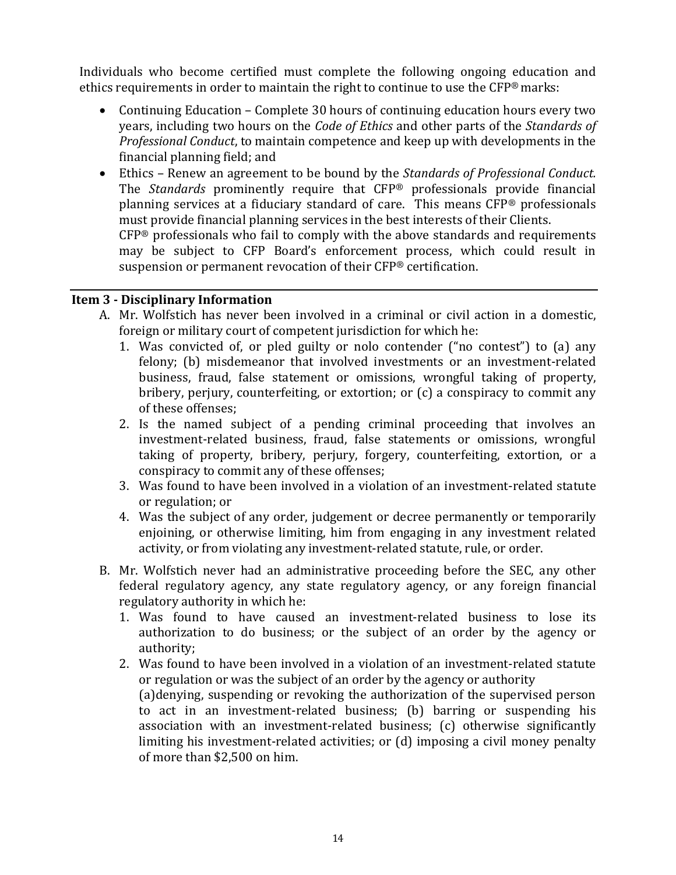Individuals who become certified must complete the following ongoing education and ethics requirements in order to maintain the right to continue to use the CFP® marks:

- Continuing Education Complete 30 hours of continuing education hours every two years, including two hours on the *Code of Ethics* and other parts of the *Standards of Professional Conduct*, to maintain competence and keep up with developments in the financial planning field; and
- Ethics Renew an agreement to be bound by the *Standards of Professional Conduct.*  The *Standards* prominently require that CFP® professionals provide financial planning services at a fiduciary standard of care. This means CFP® professionals must provide financial planning services in the best interests of their Clients. CFP® professionals who fail to comply with the above standards and requirements

may be subject to CFP Board's enforcement process, which could result in suspension or permanent revocation of their CFP® certification.

### <span id="page-18-0"></span>**Item 3 - Disciplinary Information**

- A. Mr. Wolfstich has never been involved in a criminal or civil action in a domestic, foreign or military court of competent jurisdiction for which he:
	- 1. Was convicted of, or pled guilty or nolo contender ("no contest") to (a) any felony; (b) misdemeanor that involved investments or an investment-related business, fraud, false statement or omissions, wrongful taking of property, bribery, perjury, counterfeiting, or extortion; or (c) a conspiracy to commit any of these offenses;
	- 2. Is the named subject of a pending criminal proceeding that involves an investment-related business, fraud, false statements or omissions, wrongful taking of property, bribery, perjury, forgery, counterfeiting, extortion, or a conspiracy to commit any of these offenses;
	- 3. Was found to have been involved in a violation of an investment-related statute or regulation; or
	- 4. Was the subject of any order, judgement or decree permanently or temporarily enjoining, or otherwise limiting, him from engaging in any investment related activity, or from violating any investment-related statute, rule, or order.
- B. Mr. Wolfstich never had an administrative proceeding before the SEC, any other federal regulatory agency, any state regulatory agency, or any foreign financial regulatory authority in which he:
	- 1. Was found to have caused an investment-related business to lose its authorization to do business; or the subject of an order by the agency or authority;
	- 2. Was found to have been involved in a violation of an investment-related statute or regulation or was the subject of an order by the agency or authority (a)denying, suspending or revoking the authorization of the supervised person to act in an investment-related business; (b) barring or suspending his association with an investment-related business; (c) otherwise significantly limiting his investment-related activities; or (d) imposing a civil money penalty of more than \$2,500 on him.